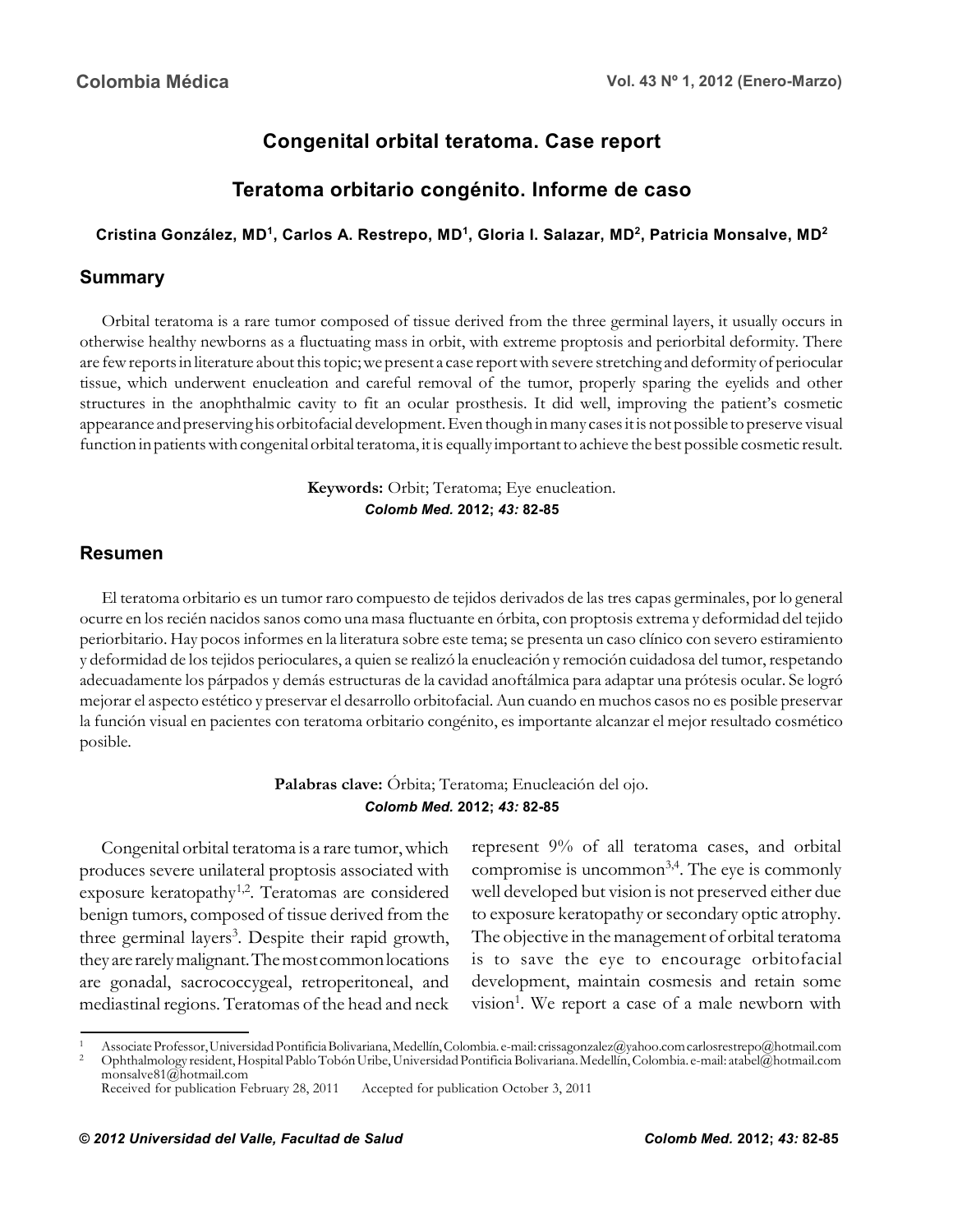# **Congenital orbital teratoma. Case report**

# **Teratoma orbitario congénito. Informe de caso**

#### **Cristina González, MD1, Carlos A. Restrepo, MD1, Gloria I. Salazar, MD2, Patricia Monsalve, MD2**

### **Summary**

Orbital teratoma is a rare tumor composed of tissue derived from the three germinal layers, it usually occurs in otherwise healthy newborns as a fluctuating mass in orbit, with extreme proptosis and periorbital deformity. There are few reports in literature about this topic; we present a case report with severe stretching and deformity of periocular tissue, which underwent enucleation and careful removal of the tumor, properly sparing the eyelids and other structures in the anophthalmic cavity to fit an ocular prosthesis. It did well, improving the patient's cosmetic appearance and preserving his orbitofacial development. Even though in many cases it is not possible to preserve visual function in patients with congenital orbital teratoma, it is equally important to achieve the best possible cosmetic result.

#### **Keywords:** Orbit; Teratoma; Eye enucleation. *Colomb Med.* **2012;** *43:* **82-85**

### **Resumen**

El teratoma orbitario es un tumor raro compuesto de tejidos derivados de las tres capas germinales, por lo general ocurre en los recién nacidos sanos como una masa fluctuante en órbita, con proptosis extrema y deformidad del tejido periorbitario. Hay pocos informes en la literatura sobre este tema; se presenta un caso clínico con severo estiramiento y deformidad de los tejidos perioculares, a quien se realizó la enucleación y remoción cuidadosa del tumor, respetando adecuadamente los párpados y demás estructuras de la cavidad anoftálmica para adaptar una prótesis ocular. Se logró mejorar el aspecto estético y preservar el desarrollo orbitofacial. Aun cuando en muchos casos no es posible preservar la función visual en pacientes con teratoma orbitario congénito, es importante alcanzar el mejor resultado cosmético posible.

> **Palabras clave:** Órbita; Teratoma; Enucleación del ojo. *Colomb Med.* **2012;** *43:* **82-85**

Congenital orbital teratoma is a rare tumor, which produces severe unilateral proptosis associated with exposure keratopathy<sup>1,2</sup>. Teratomas are considered benign tumors, composed of tissue derived from the three germinal layers<sup>3</sup>. Despite their rapid growth, they are rarely malignant. The most common locations are gonadal, sacrococcygeal, retroperitoneal, and mediastinal regions. Teratomas of the head and neck represent 9% of all teratoma cases, and orbital compromise is uncommon<sup>3,4</sup>. The eye is commonly well developed but vision is not preserved either due to exposure keratopathy or secondary optic atrophy. The objective in the management of orbital teratoma is to save the eye to encourage orbitofacial development, maintain cosmesis and retain some vision<sup>1</sup>. We report a case of a male newborn with

<sup>1</sup> Associate Professor, Universidad Pontificia Bolivariana, Medellín, Colombia. e-mail: crissagonzalez@yahoo.com carlosrestrepo@hotmail.com<br>2 Ophthalmology resident, Hospital Pablo Tobón Uribe, Universidad Pontificia Boliva monsalve81@hotmail.com

Received for publication February 28, 2011 Accepted for publication October 3, 2011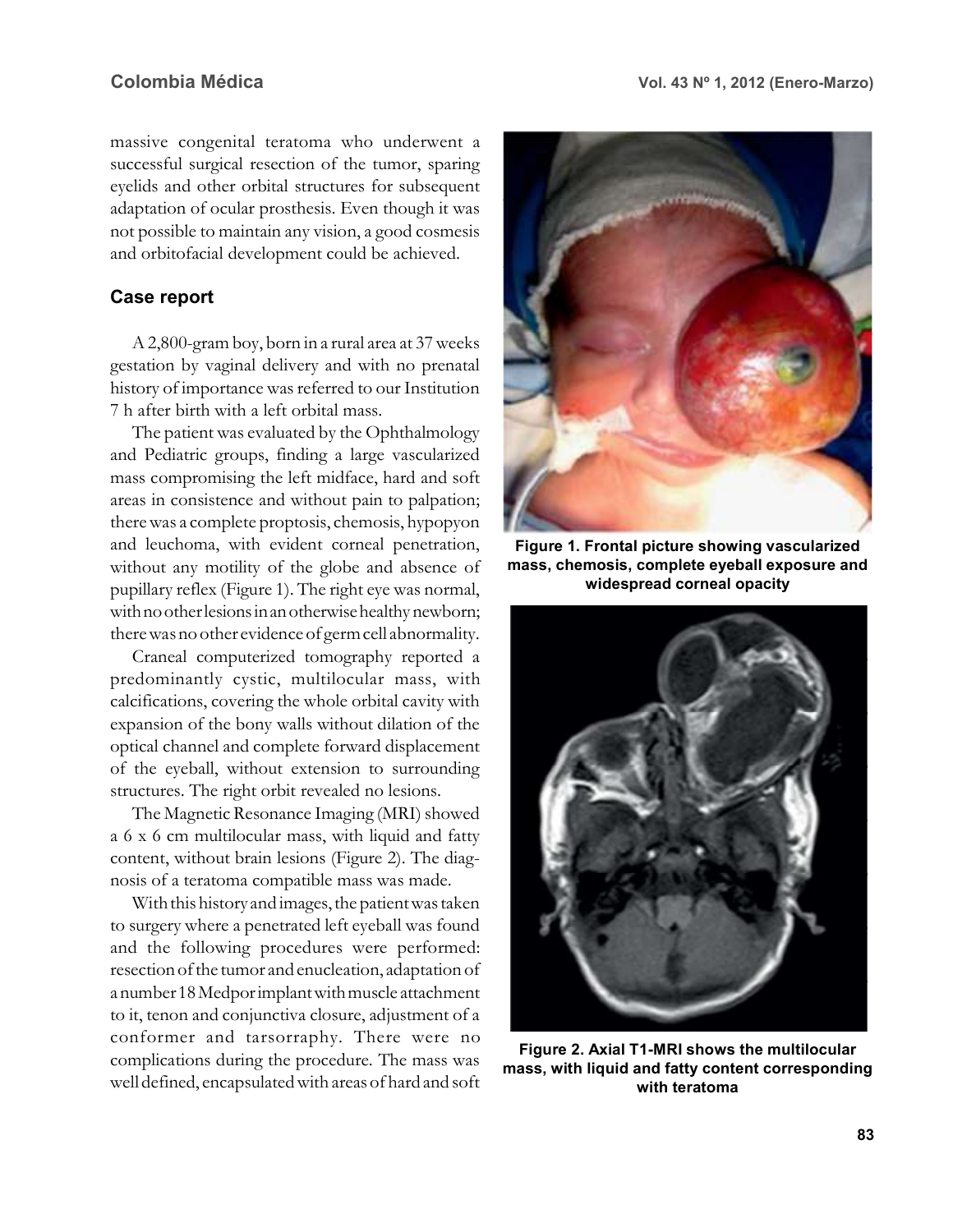massive congenital teratoma who underwent a successful surgical resection of the tumor, sparing eyelids and other orbital structures for subsequent adaptation of ocular prosthesis. Even though it was not possible to maintain any vision, a good cosmesis and orbitofacial development could be achieved.

#### **Case report**

A 2,800-gram boy, born in a rural area at 37 weeks gestation by vaginal delivery and with no prenatal history of importance was referred to our Institution 7 h after birth with a left orbital mass.

The patient was evaluated by the Ophthalmology and Pediatric groups, finding a large vascularized mass compromising the left midface, hard and soft areas in consistence and without pain to palpation; there was a complete proptosis, chemosis, hypopyon and leuchoma, with evident corneal penetration, without any motility of the globe and absence of pupillary reflex (Figure 1). The right eye was normal, with no other lesions in an otherwise healthy newborn; there was no other evidence of germ cell abnormality.

Craneal computerized tomography reported a predominantly cystic, multilocular mass, with calcifications, covering the whole orbital cavity with expansion of the bony walls without dilation of the optical channel and complete forward displacement of the eyeball, without extension to surrounding structures. The right orbit revealed no lesions.

The Magnetic Resonance Imaging (MRI) showed a 6 x 6 cm multilocular mass, with liquid and fatty content, without brain lesions (Figure 2). The diagnosis of a teratoma compatible mass was made.

With this history and images, the patient was taken to surgery where a penetrated left eyeball was found and the following procedures were performed: resection of the tumor and enucleation, adaptation of a number 18 Medpor implant with muscle attachment to it, tenon and conjunctiva closure, adjustment of a conformer and tarsorraphy. There were no complications during the procedure. The mass was well defined, encapsulated with areas of hard and soft



**Figure 1. Frontal picture showing vascularized mass, chemosis, complete eyeball exposure and widespread corneal opacity**



**Figure 2. Axial T1-MRI shows the multilocular mass, with liquid and fatty content corresponding with teratoma**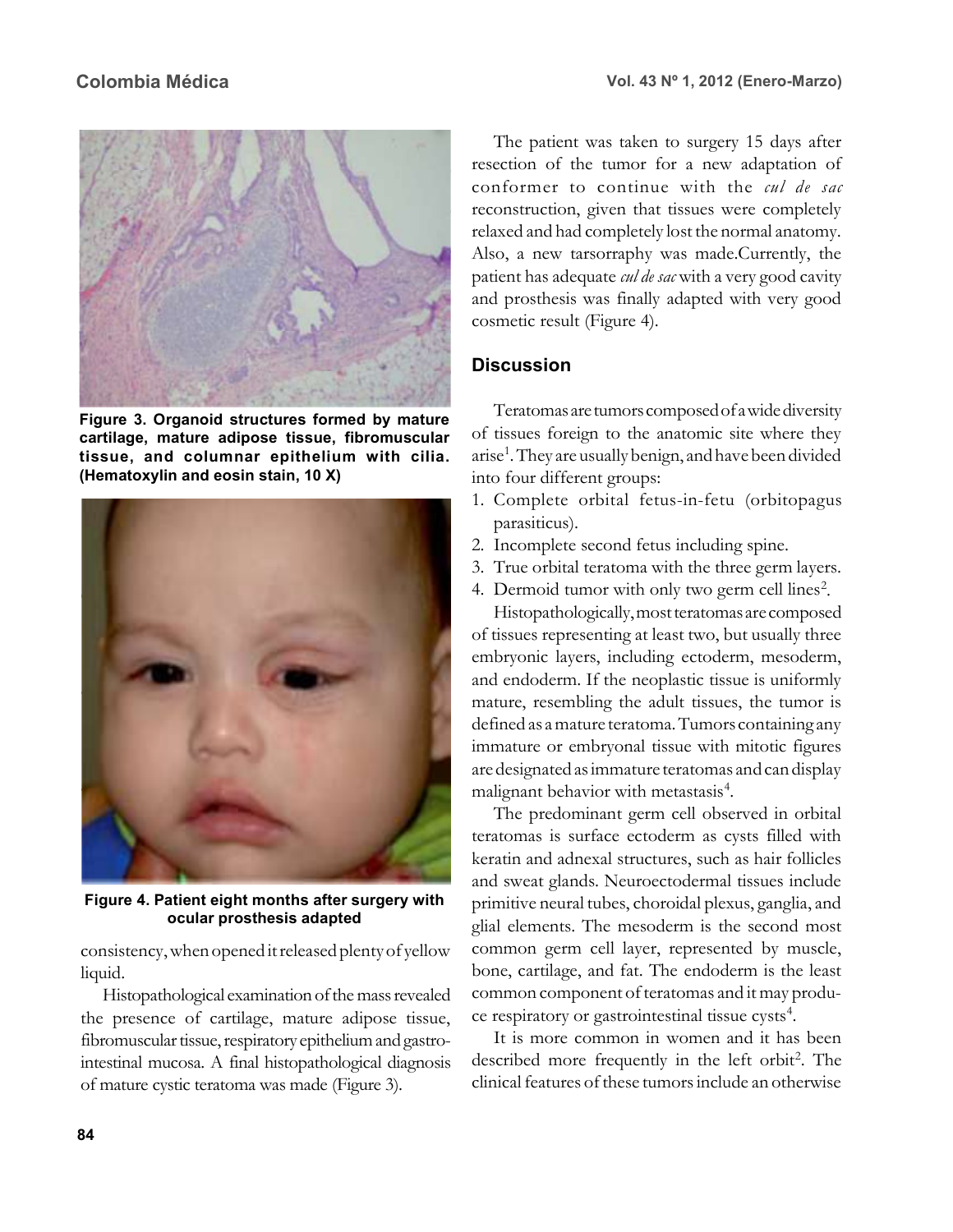

**Figure 3. Organoid structures formed by mature cartilage, mature adipose tissue, fibromuscular tissue, and columnar epithelium with cilia. (Hematoxylin and eosin stain, 10 X)**



**Figure 4. Patient eight months after surgery with ocular prosthesis adapted**

consistency, when opened it released plenty of yellow liquid.

Histopathological examination of the mass revealed the presence of cartilage, mature adipose tissue, fibromuscular tissue, respiratory epithelium and gastrointestinal mucosa. A final histopathological diagnosis of mature cystic teratoma was made (Figure 3).

The patient was taken to surgery 15 days after resection of the tumor for a new adaptation of conformer to continue with the *cul de sac* reconstruction, given that tissues were completely relaxed and had completely lost the normal anatomy. Also, a new tarsorraphy was made.Currently, the patient has adequate *cul de sac* with a very good cavity and prosthesis was finally adapted with very good cosmetic result (Figure 4).

## **Discussion**

Teratomas are tumors composed of a wide diversity of tissues foreign to the anatomic site where they arise<sup>1</sup>. They are usually benign, and have been divided into four different groups:

- 1. Complete orbital fetus-in-fetu (orbitopagus parasiticus).
- 2. Incomplete second fetus including spine.
- 3. True orbital teratoma with the three germ layers.
- 4. Dermoid tumor with only two germ cell lines<sup>2</sup>.

Histopathologically, most teratomas are composed of tissues representing at least two, but usually three embryonic layers, including ectoderm, mesoderm, and endoderm. If the neoplastic tissue is uniformly mature, resembling the adult tissues, the tumor is defined as a mature teratoma. Tumors containing any immature or embryonal tissue with mitotic figures are designated as immature teratomas and can display malignant behavior with metastasis<sup>4</sup>.

The predominant germ cell observed in orbital teratomas is surface ectoderm as cysts filled with keratin and adnexal structures, such as hair follicles and sweat glands. Neuroectodermal tissues include primitive neural tubes, choroidal plexus, ganglia, and glial elements. The mesoderm is the second most common germ cell layer, represented by muscle, bone, cartilage, and fat. The endoderm is the least common component of teratomas and it may produce respiratory or gastrointestinal tissue cysts<sup>4</sup>.

It is more common in women and it has been described more frequently in the left orbit<sup>2</sup>. The clinical features of these tumors include an otherwise